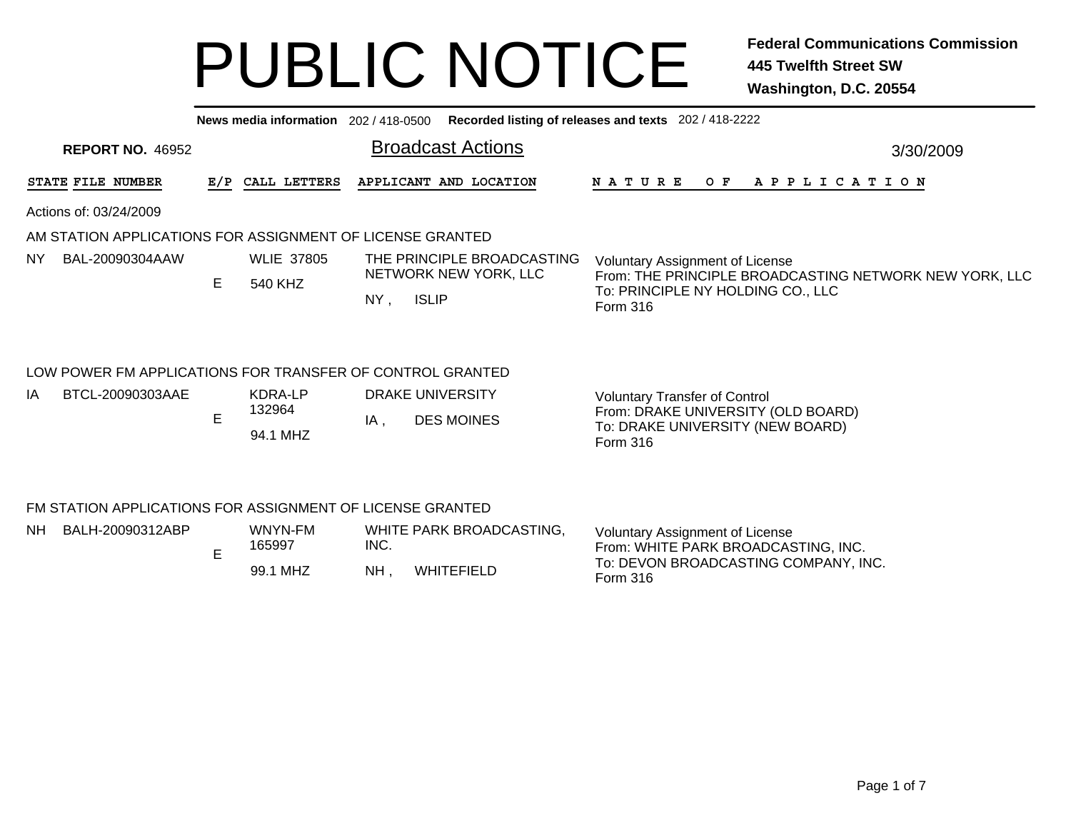|           | Recorded listing of releases and texts 202 / 418-2222<br>News media information 202/418-0500 |                                    |                              |                          |                                       |                                                     |                                                                                                                                                   |  |                                                                                                                                   |  |     |  |           |  |  |                       |  |  |  |
|-----------|----------------------------------------------------------------------------------------------|------------------------------------|------------------------------|--------------------------|---------------------------------------|-----------------------------------------------------|---------------------------------------------------------------------------------------------------------------------------------------------------|--|-----------------------------------------------------------------------------------------------------------------------------------|--|-----|--|-----------|--|--|-----------------------|--|--|--|
|           | <b>REPORT NO. 46952</b>                                                                      |                                    |                              | <b>Broadcast Actions</b> |                                       |                                                     |                                                                                                                                                   |  |                                                                                                                                   |  |     |  | 3/30/2009 |  |  |                       |  |  |  |
|           | STATE FILE NUMBER                                                                            | E/P                                | CALL LETTERS                 |                          |                                       | APPLICANT AND LOCATION                              | <b>NATURE</b>                                                                                                                                     |  |                                                                                                                                   |  | O F |  |           |  |  | A P P L I C A T I O N |  |  |  |
|           | Actions of: 03/24/2009                                                                       |                                    |                              |                          |                                       |                                                     |                                                                                                                                                   |  |                                                                                                                                   |  |     |  |           |  |  |                       |  |  |  |
|           | AM STATION APPLICATIONS FOR ASSIGNMENT OF LICENSE GRANTED                                    |                                    |                              |                          |                                       |                                                     |                                                                                                                                                   |  |                                                                                                                                   |  |     |  |           |  |  |                       |  |  |  |
| <b>NY</b> | BAL-20090304AAW                                                                              | E.                                 | <b>WLIE 37805</b><br>540 KHZ | NY,                      | <b>ISLIP</b>                          | THE PRINCIPLE BROADCASTING<br>NETWORK NEW YORK, LLC | <b>Voluntary Assignment of License</b><br>From: THE PRINCIPLE BROADCASTING NETWORK NEW YORK, LLC<br>To: PRINCIPLE NY HOLDING CO., LLC<br>Form 316 |  |                                                                                                                                   |  |     |  |           |  |  |                       |  |  |  |
|           | LOW POWER FM APPLICATIONS FOR TRANSFER OF CONTROL GRANTED                                    |                                    |                              |                          |                                       |                                                     |                                                                                                                                                   |  |                                                                                                                                   |  |     |  |           |  |  |                       |  |  |  |
| IA        | BTCL-20090303AAE                                                                             | KDRA-LP<br>132964<br>E<br>94.1 MHZ |                              | $IA$ ,                   | DRAKE UNIVERSITY<br><b>DES MOINES</b> |                                                     |                                                                                                                                                   |  | <b>Voluntary Transfer of Control</b><br>From: DRAKE UNIVERSITY (OLD BOARD)<br>To: DRAKE UNIVERSITY (NEW BOARD)<br><b>Form 316</b> |  |     |  |           |  |  |                       |  |  |  |

### FM STATION APPLICATIONS FOR ASSIGNMENT OF LICENSE GRANTED

| NΗ | BALH-20090312ABP | - | WNYN-FM<br>165997 | INC.      | WHITE PARK BROADCASTING. | Voluntary Assignment of License<br>From: WHITE PARK BROADCASTING, INC. |
|----|------------------|---|-------------------|-----------|--------------------------|------------------------------------------------------------------------|
|    |                  |   | , MHZ<br>99.1     | <b>NH</b> | WHITEFIELD               | To: DEVON BROADCASTING COMPANY, INC.<br>Form 316                       |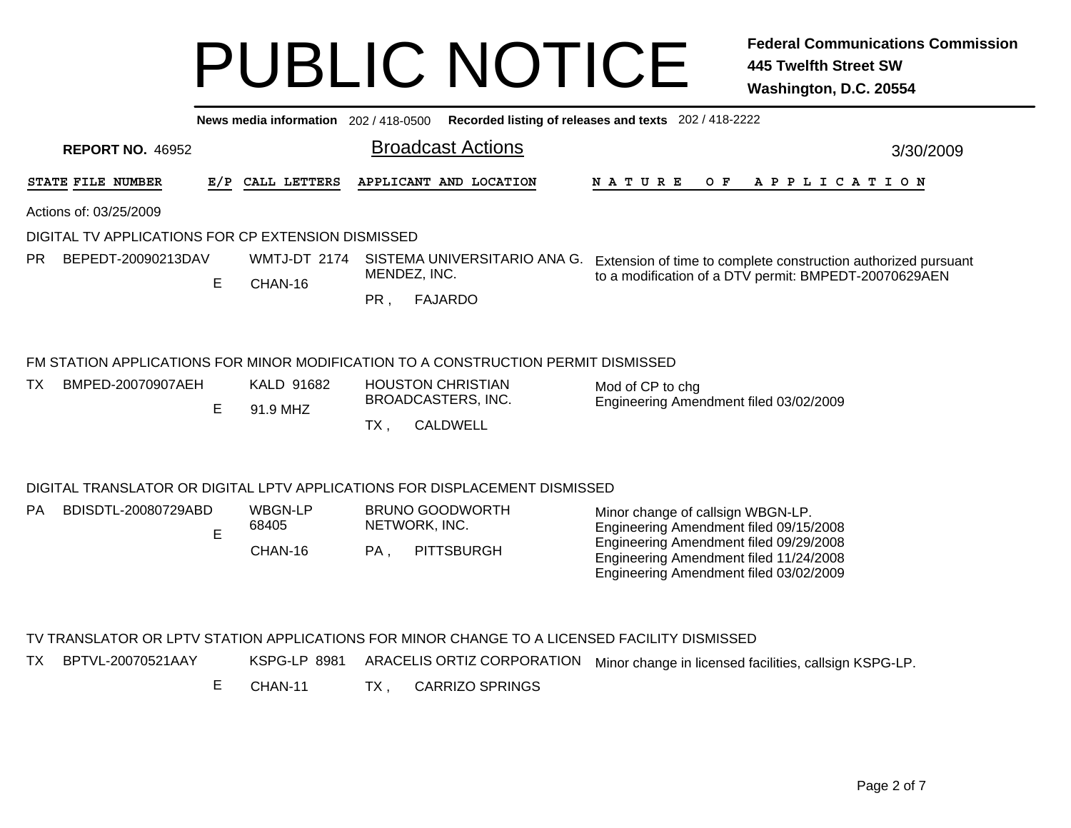|     |                                                    |     | News media information 202 / 418-0500 |                                                                                  |                                                                                   | Recorded listing of releases and texts 202 / 418-2222                                        |
|-----|----------------------------------------------------|-----|---------------------------------------|----------------------------------------------------------------------------------|-----------------------------------------------------------------------------------|----------------------------------------------------------------------------------------------|
|     | <b>REPORT NO. 46952</b>                            |     |                                       |                                                                                  | <b>Broadcast Actions</b>                                                          | 3/30/2009                                                                                    |
|     | STATE FILE NUMBER                                  | E/P | CALL LETTERS                          |                                                                                  | APPLICANT AND LOCATION                                                            | <b>NATURE</b><br>O F<br>A P P L I C A T I O N                                                |
|     | Actions of: 03/25/2009                             |     |                                       |                                                                                  |                                                                                   |                                                                                              |
|     | DIGITAL TV APPLICATIONS FOR CP EXTENSION DISMISSED |     |                                       |                                                                                  |                                                                                   |                                                                                              |
| PR. | BEPEDT-20090213DAV                                 |     | WMTJ-DT 2174                          | SISTEMA UNIVERSITARIO ANA G.                                                     | Extension of time to complete construction authorized pursuant                    |                                                                                              |
|     |                                                    | E   | CHAN-16                               | MENDEZ, INC.                                                                     |                                                                                   | to a modification of a DTV permit: BMPEDT-20070629AEN                                        |
|     |                                                    |     |                                       | PR,                                                                              | <b>FAJARDO</b>                                                                    |                                                                                              |
|     |                                                    |     |                                       |                                                                                  | FM STATION APPLICATIONS FOR MINOR MODIFICATION TO A CONSTRUCTION PERMIT DISMISSED |                                                                                              |
| ТX  | BMPED-20070907AEH                                  |     | KALD 91682                            |                                                                                  | <b>HOUSTON CHRISTIAN</b>                                                          | Mod of CP to chg                                                                             |
|     |                                                    | Е   | 91.9 MHZ                              |                                                                                  | BROADCASTERS, INC.                                                                | Engineering Amendment filed 03/02/2009                                                       |
|     |                                                    |     |                                       | TX,                                                                              | <b>CALDWELL</b>                                                                   |                                                                                              |
|     |                                                    |     |                                       |                                                                                  | DIGITAL TRANSLATOR OR DIGITAL LPTV APPLICATIONS FOR DISPLACEMENT DISMISSED        |                                                                                              |
| PA. | BDISDTL-20080729ABD                                |     | <b>WBGN-LP</b>                        |                                                                                  | <b>BRUNO GOODWORTH</b>                                                            | Minor change of callsign WBGN-LP.                                                            |
|     |                                                    | E   | 68405                                 | NETWORK, INC.                                                                    |                                                                                   | Engineering Amendment filed 09/15/2008<br>Engineering Amendment filed 09/29/2008             |
|     |                                                    |     | CHAN-16                               | Engineering Amendment filed 11/24/2008<br>Engineering Amendment filed 03/02/2009 |                                                                                   |                                                                                              |
|     |                                                    |     |                                       |                                                                                  |                                                                                   | TV TRANSLATOR OR LPTV STATION APPLICATIONS FOR MINOR CHANGE TO A LICENSED FACILITY DISMISSED |
| ТX  | BPTVL-20070521AAY                                  |     | KSPG-LP 8981                          |                                                                                  | ARACELIS ORTIZ CORPORATION                                                        | Minor change in licensed facilities, callsign KSPG-LP.                                       |
|     |                                                    | Е   | CHAN-11                               | TX,                                                                              | <b>CARRIZO SPRINGS</b>                                                            |                                                                                              |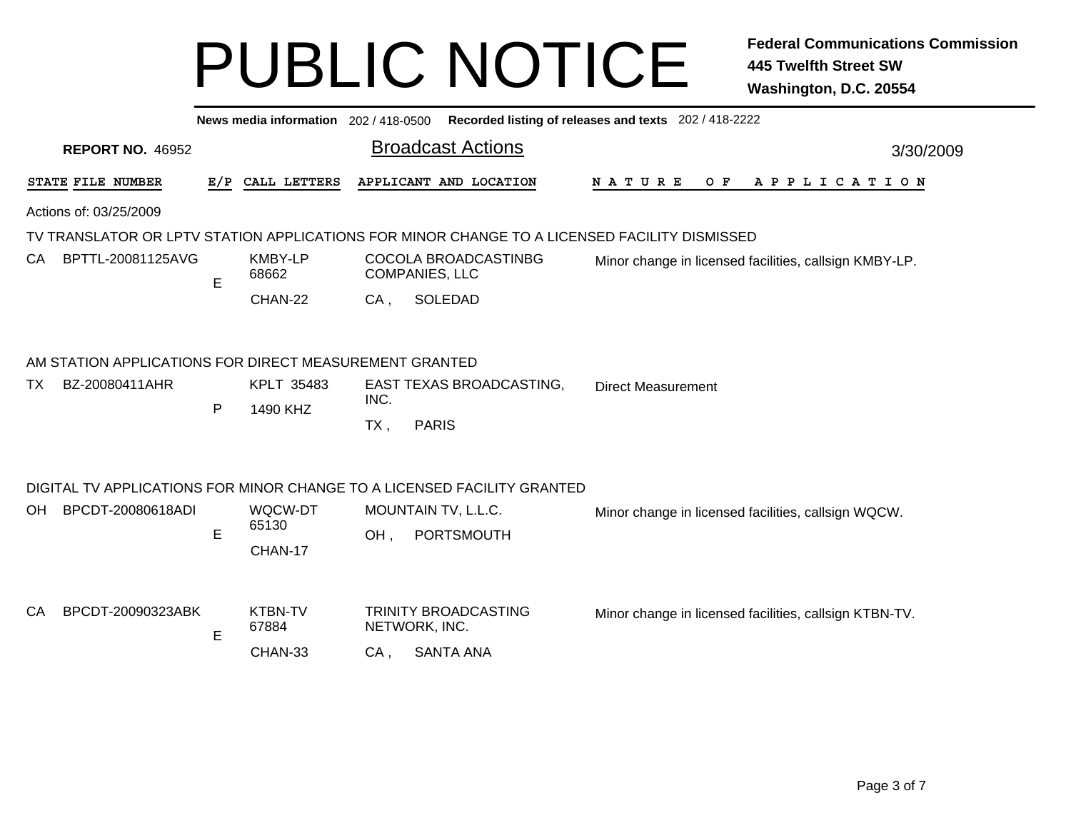|                          |                                                        |     | News media information 202 / 418-0500 |        |                                                                                              | Recorded listing of releases and texts 202 / 418-2222  |  |  |  |  |  |  |
|--------------------------|--------------------------------------------------------|-----|---------------------------------------|--------|----------------------------------------------------------------------------------------------|--------------------------------------------------------|--|--|--|--|--|--|
|                          | <b>REPORT NO. 46952</b>                                |     |                                       |        | <b>Broadcast Actions</b>                                                                     | 3/30/2009                                              |  |  |  |  |  |  |
|                          | STATE FILE NUMBER                                      | E/P | CALL LETTERS                          |        | APPLICANT AND LOCATION                                                                       | <b>NATURE</b><br>O F<br>A P P L I C A T I O N          |  |  |  |  |  |  |
|                          | Actions of: 03/25/2009                                 |     |                                       |        |                                                                                              |                                                        |  |  |  |  |  |  |
|                          |                                                        |     |                                       |        | TV TRANSLATOR OR LPTV STATION APPLICATIONS FOR MINOR CHANGE TO A LICENSED FACILITY DISMISSED |                                                        |  |  |  |  |  |  |
| BPTTL-20081125AVG<br>CA. |                                                        | E   | <b>KMBY-LP</b><br>68662               |        | COCOLA BROADCASTINBG<br><b>COMPANIES, LLC</b>                                                | Minor change in licensed facilities, callsign KMBY-LP. |  |  |  |  |  |  |
|                          |                                                        |     | CHAN-22                               | $CA$ , | SOLEDAD                                                                                      |                                                        |  |  |  |  |  |  |
|                          | AM STATION APPLICATIONS FOR DIRECT MEASUREMENT GRANTED |     |                                       |        |                                                                                              |                                                        |  |  |  |  |  |  |
| ТX                       | BZ-20080411AHR                                         |     | KPLT 35483                            | INC.   | EAST TEXAS BROADCASTING,                                                                     | <b>Direct Measurement</b>                              |  |  |  |  |  |  |
|                          |                                                        | P   | 1490 KHZ                              | $TX$ , | <b>PARIS</b>                                                                                 |                                                        |  |  |  |  |  |  |
|                          |                                                        |     |                                       |        | DIGITAL TV APPLICATIONS FOR MINOR CHANGE TO A LICENSED FACILITY GRANTED                      |                                                        |  |  |  |  |  |  |
| OH.                      | BPCDT-20080618ADI                                      |     | WQCW-DT                               |        | MOUNTAIN TV, L.L.C.                                                                          | Minor change in licensed facilities, callsign WQCW.    |  |  |  |  |  |  |
|                          |                                                        | E   | 65130                                 | OH,    | PORTSMOUTH                                                                                   |                                                        |  |  |  |  |  |  |
|                          |                                                        |     | CHAN-17                               |        |                                                                                              |                                                        |  |  |  |  |  |  |
| CA                       | BPCDT-20090323ABK                                      |     | <b>KTBN-TV</b>                        |        | TRINITY BROADCASTING                                                                         | Minor change in licensed facilities, callsign KTBN-TV. |  |  |  |  |  |  |
|                          |                                                        | E   | 67884                                 |        | NETWORK, INC.                                                                                |                                                        |  |  |  |  |  |  |
|                          |                                                        |     | CHAN-33                               | CA,    | <b>SANTA ANA</b>                                                                             |                                                        |  |  |  |  |  |  |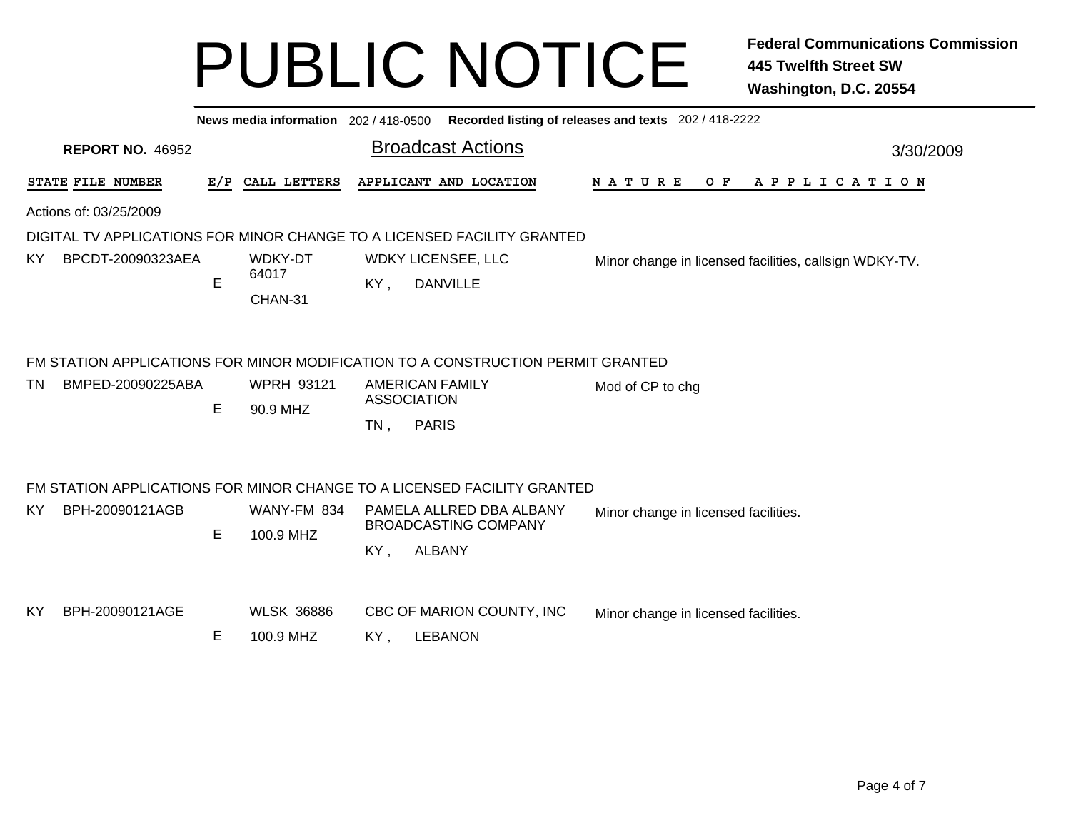|                                                                         |     | News media information 202 / 418-0500 |        | Recorded listing of releases and texts 202 / 418-2222                                                                                           |                                      |  |                                                        |  |  |  |  |  |
|-------------------------------------------------------------------------|-----|---------------------------------------|--------|-------------------------------------------------------------------------------------------------------------------------------------------------|--------------------------------------|--|--------------------------------------------------------|--|--|--|--|--|
| <b>REPORT NO. 46952</b>                                                 |     |                                       |        | <b>Broadcast Actions</b>                                                                                                                        | 3/30/2009                            |  |                                                        |  |  |  |  |  |
| STATE FILE NUMBER                                                       | E/P | CALL LETTERS                          |        | APPLICANT AND LOCATION                                                                                                                          | A P P L I C A T I O N                |  |                                                        |  |  |  |  |  |
| Actions of: 03/25/2009                                                  |     |                                       |        |                                                                                                                                                 |                                      |  |                                                        |  |  |  |  |  |
| DIGITAL TV APPLICATIONS FOR MINOR CHANGE TO A LICENSED FACILITY GRANTED |     |                                       |        |                                                                                                                                                 |                                      |  |                                                        |  |  |  |  |  |
| BPCDT-20090323AEA<br>KY.                                                | E   | <b>WDKY-DT</b><br>64017<br>CHAN-31    | KY,    | <b>WDKY LICENSEE, LLC</b><br><b>DANVILLE</b>                                                                                                    |                                      |  | Minor change in licensed facilities, callsign WDKY-TV. |  |  |  |  |  |
| BMPED-20090225ABA<br>TN.                                                | E   | <b>WPRH 93121</b><br>90.9 MHZ         | $TN$ , | FM STATION APPLICATIONS FOR MINOR MODIFICATION TO A CONSTRUCTION PERMIT GRANTED<br><b>AMERICAN FAMILY</b><br><b>ASSOCIATION</b><br><b>PARIS</b> | Mod of CP to chg                     |  |                                                        |  |  |  |  |  |
|                                                                         |     |                                       |        | FM STATION APPLICATIONS FOR MINOR CHANGE TO A LICENSED FACILITY GRANTED                                                                         |                                      |  |                                                        |  |  |  |  |  |
| BPH-20090121AGB<br>KY.                                                  | E   | WANY-FM 834<br>100.9 MHZ              | KY,    | PAMELA ALLRED DBA ALBANY<br><b>BROADCASTING COMPANY</b><br><b>ALBANY</b>                                                                        | Minor change in licensed facilities. |  |                                                        |  |  |  |  |  |
| BPH-20090121AGE<br>KY                                                   | Е   | <b>WLSK 36886</b><br>100.9 MHZ        | KY,    | CBC OF MARION COUNTY, INC<br><b>LEBANON</b>                                                                                                     | Minor change in licensed facilities. |  |                                                        |  |  |  |  |  |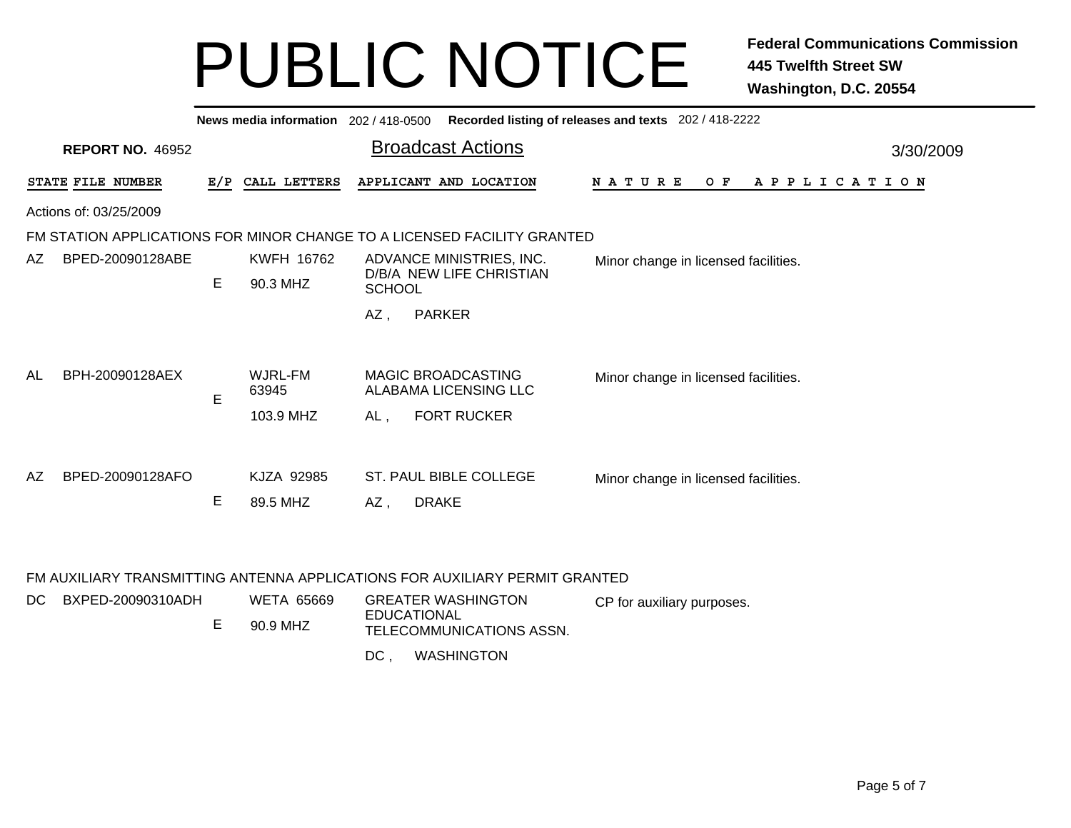| Recorded listing of releases and texts 202 / 418-2222<br>News media information 202 / 418-0500 |                                                                         |     |                   |                          |                                                    |                                      |  |  |     |           |  |  |  |  |  |  |                       |  |
|------------------------------------------------------------------------------------------------|-------------------------------------------------------------------------|-----|-------------------|--------------------------|----------------------------------------------------|--------------------------------------|--|--|-----|-----------|--|--|--|--|--|--|-----------------------|--|
|                                                                                                | <b>REPORT NO. 46952</b>                                                 |     |                   | <b>Broadcast Actions</b> |                                                    |                                      |  |  |     | 3/30/2009 |  |  |  |  |  |  |                       |  |
|                                                                                                | STATE FILE NUMBER                                                       | E/P | CALL LETTERS      |                          | APPLICANT AND LOCATION                             | <b>NATURE</b>                        |  |  | O F |           |  |  |  |  |  |  | A P P L I C A T I O N |  |
|                                                                                                | Actions of: 03/25/2009                                                  |     |                   |                          |                                                    |                                      |  |  |     |           |  |  |  |  |  |  |                       |  |
|                                                                                                | FM STATION APPLICATIONS FOR MINOR CHANGE TO A LICENSED FACILITY GRANTED |     |                   |                          |                                                    |                                      |  |  |     |           |  |  |  |  |  |  |                       |  |
| AZ.                                                                                            | BPED-20090128ABE                                                        |     | <b>KWFH 16762</b> |                          | ADVANCE MINISTRIES, INC.                           | Minor change in licensed facilities. |  |  |     |           |  |  |  |  |  |  |                       |  |
|                                                                                                |                                                                         |     | 90.3 MHZ          | <b>SCHOOL</b>            | D/B/A NEW LIFE CHRISTIAN                           |                                      |  |  |     |           |  |  |  |  |  |  |                       |  |
|                                                                                                |                                                                         |     |                   | AZ,                      | <b>PARKER</b>                                      |                                      |  |  |     |           |  |  |  |  |  |  |                       |  |
|                                                                                                |                                                                         |     |                   |                          |                                                    |                                      |  |  |     |           |  |  |  |  |  |  |                       |  |
| AL                                                                                             | BPH-20090128AEX                                                         | E   | WJRL-FM<br>63945  |                          | <b>MAGIC BROADCASTING</b><br>ALABAMA LICENSING LLC | Minor change in licensed facilities. |  |  |     |           |  |  |  |  |  |  |                       |  |
|                                                                                                |                                                                         |     | 103.9 MHZ         | AL,                      | <b>FORT RUCKER</b>                                 |                                      |  |  |     |           |  |  |  |  |  |  |                       |  |
|                                                                                                |                                                                         |     |                   |                          |                                                    |                                      |  |  |     |           |  |  |  |  |  |  |                       |  |
| AZ.                                                                                            | BPED-20090128AFO                                                        |     | KJZA 92985        |                          | ST. PAUL BIBLE COLLEGE                             | Minor change in licensed facilities. |  |  |     |           |  |  |  |  |  |  |                       |  |
|                                                                                                |                                                                         | Е   | 89.5 MHZ          | AZ,                      | <b>DRAKE</b>                                       |                                      |  |  |     |           |  |  |  |  |  |  |                       |  |

### FM AUXILIARY TRANSMITTING ANTENNA APPLICATIONS FOR AUXILIARY PERMIT GRANTED

| DC BXPED-20090310ADH | <b>WETA 65669</b> | <b>GREATER WASHINGTON</b>               | CP for auxiliary purposes. |
|----------------------|-------------------|-----------------------------------------|----------------------------|
|                      | 90.9 MHZ          | EDUCATIONAL<br>TELECOMMUNICATIONS ASSN. |                            |

**WASHINGTON**  $DC$ .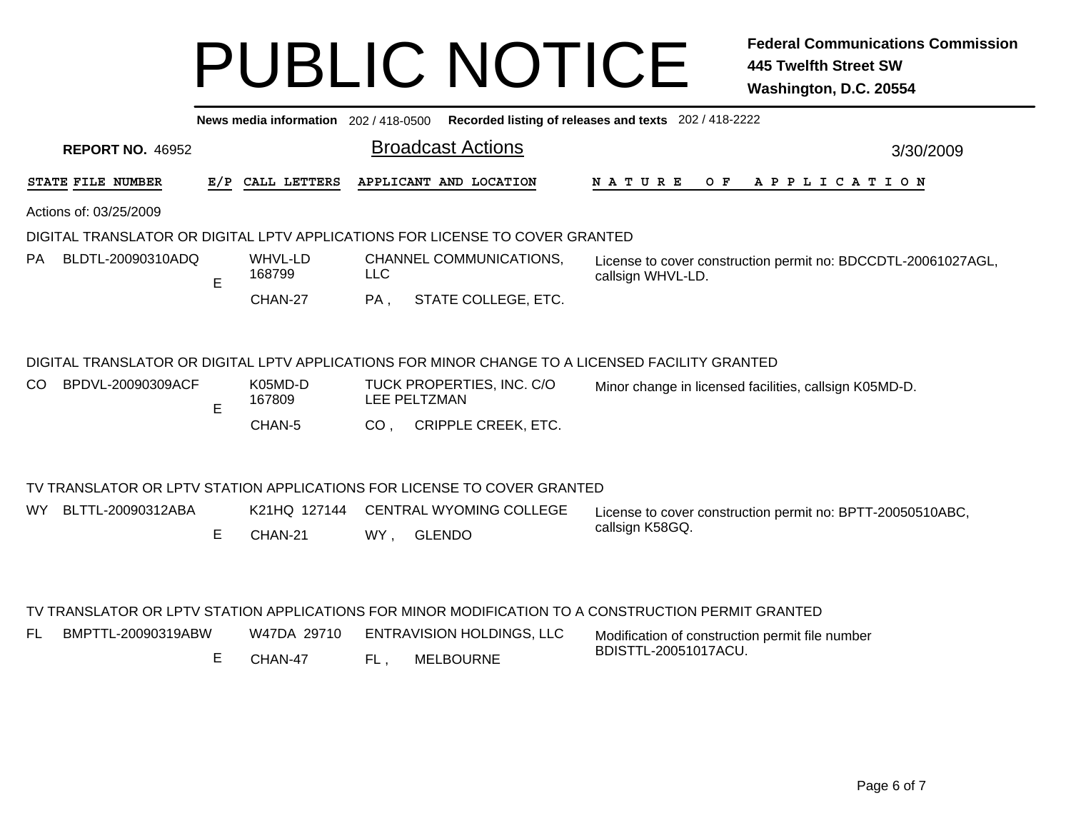|                                |     | News media information 202 / 418-0500 |                                                                                                    | Recorded listing of releases and texts 202 / 418-2222                              |
|--------------------------------|-----|---------------------------------------|----------------------------------------------------------------------------------------------------|------------------------------------------------------------------------------------|
| <b>REPORT NO. 46952</b>        |     |                                       | <b>Broadcast Actions</b>                                                                           | 3/30/2009                                                                          |
| STATE FILE NUMBER              | E/P | CALL LETTERS                          | APPLICANT AND LOCATION                                                                             | O F<br><b>NATURE</b><br>A P P L I C A T I O N                                      |
| Actions of: 03/25/2009         |     |                                       |                                                                                                    |                                                                                    |
|                                |     |                                       | DIGITAL TRANSLATOR OR DIGITAL LPTV APPLICATIONS FOR LICENSE TO COVER GRANTED                       |                                                                                    |
| BLDTL-20090310ADQ<br><b>PA</b> | E   | WHVL-LD<br>168799                     | CHANNEL COMMUNICATIONS,<br><b>LLC</b>                                                              | License to cover construction permit no: BDCCDTL-20061027AGL,<br>callsign WHVL-LD. |
|                                |     | CHAN-27                               | STATE COLLEGE, ETC.<br>PA,                                                                         |                                                                                    |
|                                |     |                                       | DIGITAL TRANSLATOR OR DIGITAL LPTV APPLICATIONS FOR MINOR CHANGE TO A LICENSED FACILITY GRANTED    |                                                                                    |
| BPDVL-20090309ACF<br>CO.       | E   | K05MD-D<br>167809                     | TUCK PROPERTIES, INC. C/O<br>LEE PELTZMAN                                                          | Minor change in licensed facilities, callsign K05MD-D.                             |
|                                |     | CHAN-5                                | CRIPPLE CREEK, ETC.<br>CO <sub>1</sub>                                                             |                                                                                    |
|                                |     |                                       | TV TRANSLATOR OR LPTV STATION APPLICATIONS FOR LICENSE TO COVER GRANTED                            |                                                                                    |
| BLTTL-20090312ABA<br><b>WY</b> |     | K21HQ 127144                          | <b>CENTRAL WYOMING COLLEGE</b>                                                                     | License to cover construction permit no: BPTT-20050510ABC,                         |
|                                | E   | CHAN-21                               | <b>GLENDO</b><br>WY,                                                                               | callsign K58GQ.                                                                    |
|                                |     |                                       | TV TRANSLATOR OR LPTV STATION APPLICATIONS FOR MINOR MODIFICATION TO A CONSTRUCTION PERMIT GRANTED |                                                                                    |

| BMPTTL-20090319ABW | W47DA 29710 | ENTRAVISION HOLDINGS, LLC | Modification of construction permit file number |
|--------------------|-------------|---------------------------|-------------------------------------------------|
|                    | CHAN-47     | <b>MELBOURNE</b>          | BDISTTL-20051017ACU.                            |